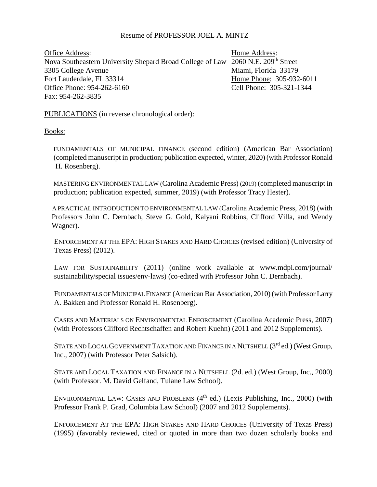# Resume of PROFESSOR JOEL A. MINTZ

Office Address: Home Address: Home Address: Nova Southeastern University Shepard Broad College of Law 2060 N.E. 209<sup>th</sup> Street 3305 College Avenue Miami, Florida 33179 Fort Lauderdale, FL 33314 **Home Phone: 305-932-6011** Office Phone: 954-262-6160 Cell Phone: 305-321-1344 Fax: 954-262-3835

PUBLICATIONS (in reverse chronological order):

Books:

 FUNDAMENTALS OF MUNICIPAL FINANCE (second edition) (American Bar Association) (completed manuscript in production; publication expected, winter, 2020) (with Professor Ronald H. Rosenberg).

 MASTERING ENVIRONMENTAL LAW (Carolina Academic Press) (2019) (completed manuscript in production; publication expected, summer, 2019) (with Professor Tracy Hester).

 A PRACTICAL INTRODUCTION TO ENVIRONMENTAL LAW (Carolina Academic Press, 2018) (with Professors John C. Dernbach, Steve G. Gold, Kalyani Robbins, Clifford Villa, and Wendy Wagner).

ENFORCEMENT AT THE EPA: HIGH STAKES AND HARD CHOICES (revised edition) (University of Texas Press) (2012).

LAW FOR SUSTAINABILITY (2011) (online work available at www.mdpi.com/journal/ sustainability/special issues/env-laws) (co-edited with Professor John C. Dernbach).

FUNDAMENTALS OF MUNICIPAL FINANCE (American Bar Association, 2010) (with Professor Larry A. Bakken and Professor Ronald H. Rosenberg).

CASES AND MATERIALS ON ENVIRONMENTAL ENFORCEMENT (Carolina Academic Press, 2007) (with Professors Clifford Rechtschaffen and Robert Kuehn) (2011 and 2012 Supplements).

STATE AND LOCAL GOVERNMENT TAXATION AND FINANCE IN A NUTSHELL  $(3^{rd}$ ed.) (West Group, Inc., 2007) (with Professor Peter Salsich).

STATE AND LOCAL TAXATION AND FINANCE IN A NUTSHELL (2d. ed.) (West Group, Inc., 2000) (with Professor. M. David Gelfand, Tulane Law School).

ENVIRONMENTAL LAW: CASES AND PROBLEMS  $(4<sup>th</sup>$  ed.) (Lexis Publishing, Inc., 2000) (with Professor Frank P. Grad, Columbia Law School) (2007 and 2012 Supplements).

ENFORCEMENT AT THE EPA: HIGH STAKES AND HARD CHOICES (University of Texas Press) (1995) (favorably reviewed, cited or quoted in more than two dozen scholarly books and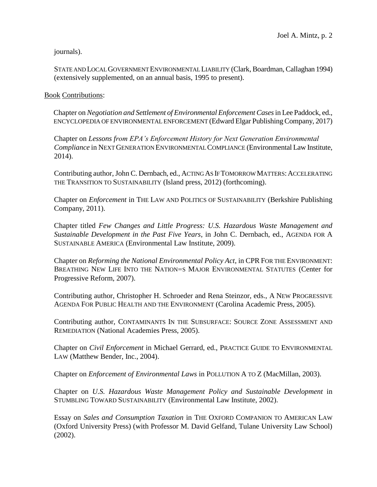journals).

STATE AND LOCAL GOVERNMENT ENVIRONMENTAL LIABILITY (Clark, Boardman, Callaghan 1994) (extensively supplemented, on an annual basis, 1995 to present).

#### Book Contributions:

 Chapter on *Negotiation and Settlement of Environmental Enforcement Cases* in Lee Paddock, ed., ENCYCLOPEDIA OF ENVIRONMENTAL ENFORCEMENT (Edward Elgar Publishing Company, 2017)

Chapter on *Lessons from EPA's Enforcement History for Next Generation Environmental Compliance* in NEXT GENERATION ENVIRONMENTAL COMPLIANCE (Environmental Law Institute, 2014).

Contributing author, John C. Dernbach, ed., ACTING AS IF TOMORROW MATTERS: ACCELERATING THE TRANSITION TO SUSTAINABILITY (Island press, 2012) (forthcoming).

Chapter on *Enforcement* in THE LAW AND POLITICS OF SUSTAINABILITY (Berkshire Publishing Company, 2011).

Chapter titled *Few Changes and Little Progress: U.S. Hazardous Waste Management and Sustainable Development in the Past Five Years*, in John C. Dernbach, ed., AGENDA FOR A SUSTAINABLE AMERICA (Environmental Law Institute, 2009).

Chapter on *Reforming the National Environmental Policy Act*, in CPR FOR THE ENVIRONMENT: BREATHING NEW LIFE INTO THE NATION=S MAJOR ENVIRONMENTAL STATUTES (Center for Progressive Reform, 2007).

Contributing author, Christopher H. Schroeder and Rena Steinzor, eds., A NEW PROGRESSIVE AGENDA FOR PUBLIC HEALTH AND THE ENVIRONMENT (Carolina Academic Press, 2005).

Contributing author, CONTAMINANTS IN THE SUBSURFACE: SOURCE ZONE ASSESSMENT AND REMEDIATION (National Academies Press, 2005).

Chapter on *Civil Enforcement* in Michael Gerrard, ed., PRACTICE GUIDE TO ENVIRONMENTAL LAW (Matthew Bender, Inc., 2004).

Chapter on *Enforcement of Environmental Laws* in POLLUTION A TO Z (MacMillan, 2003).

Chapter on *U.S. Hazardous Waste Management Policy and Sustainable Development* in STUMBLING TOWARD SUSTAINABILITY (Environmental Law Institute, 2002).

Essay on *Sales and Consumption Taxation* in THE OXFORD COMPANION TO AMERICAN LAW (Oxford University Press) (with Professor M. David Gelfand, Tulane University Law School) (2002).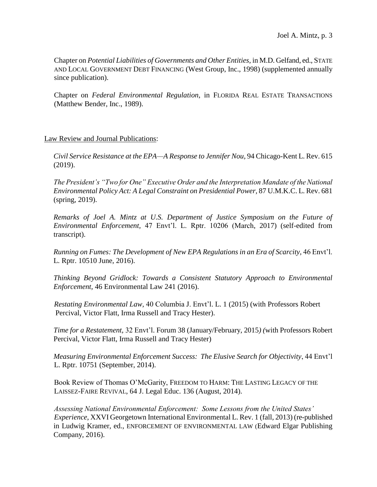Chapter on *Potential Liabilities of Governments and Other Entities*, in M.D. Gelfand, ed., STATE AND LOCAL GOVERNMENT DEBT FINANCING (West Group, Inc., 1998) (supplemented annually since publication).

Chapter on *Federal Environmental Regulation*, in FLORIDA REAL ESTATE TRANSACTIONS (Matthew Bender, Inc., 1989).

# Law Review and Journal Publications:

 *Civil Service Resistance at the EPA—A Response to Jennifer Nou,* 94 Chicago-Kent L. Rev. 615 (2019).

 *The President's "Two for One" Executive Order and the Interpretation Mandate of the National Environmental Policy Act: A Legal Constraint on Presidential Power,* 87 U.M.K.C. L. Rev. 681 (spring, 2019).

 *Remarks of Joel A. Mintz at U.S. Department of Justice Symposium on the Future of Environmental Enforcement,* 47 Envt'l. L. Rptr. 10206 (March, 2017) (self-edited from transcript).

 *Running on Fumes: The Development of New EPA Regulations in an Era of Scarcity,* 46 Envt'l. L. Rptr. 10510 June, 2016).

 *Thinking Beyond Gridlock: Towards a Consistent Statutory Approach to Environmental Enforcement,* 46 Environmental Law 241 (2016).

*Restating Environmental Law,* 40 Columbia J. Envt'l. L. 1 (2015) (with Professors Robert Percival, Victor Flatt, Irma Russell and Tracy Hester).

 *Time for a Restatement,* 32 Envt'l. Forum 38 (January/February, 2015*) (*with Professors Robert Percival, Victor Flatt, Irma Russell and Tracy Hester)

 *Measuring Environmental Enforcement Success: The Elusive Search for Objectivity*, 44 Envt'l L. Rptr. 10751 (September, 2014).

Book Review of Thomas O'McGarity, FREEDOM TO HARM: THE LASTING LEGACY OF THE LAISSEZ-FAIRE REVIVAL, 64 J. Legal Educ. 136 (August, 2014).

*Assessing National Environmental Enforcement: Some Lessons from the United States' Experience*, XXVI Georgetown International Environmental L. Rev. 1 (fall, 2013) (re-published in Ludwig Kramer, ed., ENFORCEMENT OF ENVIRONMENTAL LAW (Edward Elgar Publishing Company, 2016).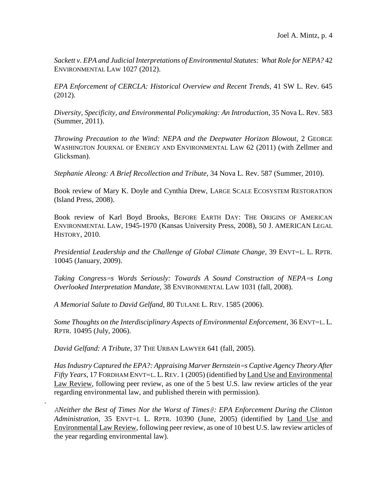*Sackett v. EPA and Judicial Interpretations of Environmental Statutes: What Role for NEPA?* 42 ENVIRONMENTAL LAW 1027 (2012).

*EPA Enforcement of CERCLA: Historical Overview and Recent Trends*, 41 SW L. Rev. 645 (2012).

*Diversity, Specificity, and Environmental Policymaking: An Introduction*, 35 Nova L. Rev. 583 (Summer, 2011).

*Throwing Precaution to the Wind: NEPA and the Deepwater Horizon Blowout*, 2 GEORGE WASHINGTON JOURNAL OF ENERGY AND ENVIRONMENTAL LAW 62 (2011) (with Zellmer and Glicksman).

*Stephanie Aleong: A Brief Recollection and Tribute*, 34 Nova L. Rev. 587 (Summer, 2010).

Book review of Mary K. Doyle and Cynthia Drew, LARGE SCALE ECOSYSTEM RESTORATION (Island Press, 2008).

Book review of Karl Boyd Brooks, BEFORE EARTH DAY: THE ORIGINS OF AMERICAN ENVIRONMENTAL LAW, 1945-1970 (Kansas University Press, 2008), 50 J. AMERICAN LEGAL HISTORY, 2010.

*Presidential Leadership and the Challenge of Global Climate Change*, 39 ENVT=L. L. RPTR. 10045 (January, 2009).

*Taking Congress=s Words Seriously: Towards A Sound Construction of NEPA=s Long Overlooked Interpretation Mandate*, 38 ENVIRONMENTAL LAW 1031 (fall, 2008).

*A Memorial Salute to David Gelfand*, 80 TULANE L. REV. 1585 (2006).

*Some Thoughts on the Interdisciplinary Aspects of Environmental Enforcement*, 36 ENVT=L. L. RPTR. 10495 (July, 2006).

*David Gelfand: A Tribute*, 37 THE URBAN LAWYER 641 (fall, 2005).

.

*Has Industry Captured the EPA?: Appraising Marver Bernstein=s Captive Agency Theory After Fifty Years*, 17 FORDHAM ENVT=L. L.REV. 1 (2005) (identified by Land Use and Environmental Law Review, following peer review, as one of the 5 best U.S. law review articles of the year regarding environmental law, and published therein with permission).

*ANeither the Best of Times Nor the Worst of Times@: EPA Enforcement During the Clinton Administration*, 35 ENVT=L L. RPTR. 10390 (June, 2005) (identified by Land Use and Environmental Law Review, following peer review, as one of 10 best U.S. law review articles of the year regarding environmental law).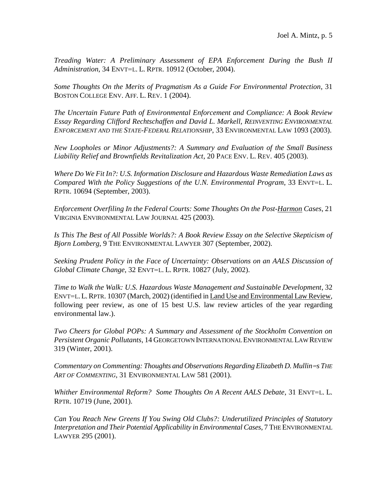*Treading Water: A Preliminary Assessment of EPA Enforcement During the Bush II Administration*, 34 ENVT=L. L. RPTR. 10912 (October, 2004).

*Some Thoughts On the Merits of Pragmatism As a Guide For Environmental Protection*, 31 BOSTON COLLEGE ENV. AFF. L. REV. 1 (2004).

*The Uncertain Future Path of Environmental Enforcement and Compliance: A Book Review Essay Regarding Clifford Rechtschaffen and David L. Markell, REINVENTING ENVIRONMENTAL ENFORCEMENT AND THE STATE-FEDERAL RELATIONSHIP*, 33 ENVIRONMENTAL LAW 1093 (2003).

*New Loopholes or Minor Adjustments?: A Summary and Evaluation of the Small Business Liability Relief and Brownfields Revitalization Act*, 20 PACE ENV. L. REV. 405 (2003).

*Where Do We Fit In?: U.S. Information Disclosure and Hazardous Waste Remediation Laws as Compared With the Policy Suggestions of the U.N. Environmental Program*, 33 ENVT=L. L. RPTR. 10694 (September, 2003).

*Enforcement Overfiling In the Federal Courts: Some Thoughts On the Post-Harmon Cases*, 21 VIRGINIA ENVIRONMENTAL LAW JOURNAL 425 (2003).

Is This The Best of All Possible Worlds?: A Book Review Essay on the Selective Skepticism of *Bjorn Lomberg*, 9 THE ENVIRONMENTAL LAWYER 307 (September, 2002).

*Seeking Prudent Policy in the Face of Uncertainty: Observations on an AALS Discussion of Global Climate Change*, 32 ENVT=L. L. RPTR. 10827 (July, 2002).

*Time to Walk the Walk: U.S. Hazardous Waste Management and Sustainable Development*, 32 ENVT=L.L.RPTR. 10307 (March, 2002) (identified in Land Use and Environmental Law Review, following peer review, as one of 15 best U.S. law review articles of the year regarding environmental law.).

*Two Cheers for Global POPs: A Summary and Assessment of the Stockholm Convention on Persistent Organic Pollutants*, 14 GEORGETOWN INTERNATIONAL ENVIRONMENTAL LAW REVIEW 319 (Winter, 2001).

*Commentary on Commenting: Thoughts and Observations Regarding Elizabeth D. Mullin* = THE *ART OF COMMENTING*, 31 ENVIRONMENTAL LAW 581 (2001).

*Whither Environmental Reform? Some Thoughts On A Recent AALS Debate*, 31 ENVT=L. L. RPTR. 10719 (June, 2001).

*Can You Reach New Greens If You Swing Old Clubs?: Underutilized Principles of Statutory Interpretation and Their Potential Applicability in Environmental Cases*, 7 THE ENVIRONMENTAL LAWYER 295 (2001).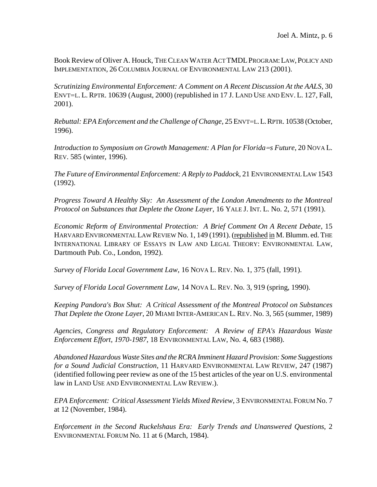Book Review of Oliver A. Houck, THE CLEAN WATER ACT TMDLPROGRAM:LAW,POLICY AND IMPLEMENTATION, 26 COLUMBIA JOURNAL OF ENVIRONMENTAL LAW 213 (2001).

*Scrutinizing Environmental Enforcement: A Comment on A Recent Discussion At the AALS*, 30 ENVT=L. L. RPTR. 10639 (August, 2000) (republished in 17 J. LAND USE AND ENV. L. 127, Fall, 2001).

*Rebuttal: EPA Enforcement and the Challenge of Change*, 25 ENVT=L.L.RPTR. 10538 (October, 1996).

*Introduction to Symposium on Growth Management: A Plan for Florida=s Future*, 20 NOVA L. REV. 585 (winter, 1996).

*The Future of Environmental Enforcement: A Reply to Paddock*, 21 ENVIRONMENTAL LAW 1543 (1992).

*Progress Toward A Healthy Sky: An Assessment of the London Amendments to the Montreal Protocol on Substances that Deplete the Ozone Layer*, 16 YALE J. INT. L. No. 2, 571 (1991).

*Economic Reform of Environmental Protection: A Brief Comment On A Recent Debate*, 15 HARVARD ENVIRONMENTAL LAW REVIEW No. 1, 149 (1991). (republished in M. Blumm. ed. THE INTERNATIONAL LIBRARY OF ESSAYS IN LAW AND LEGAL THEORY: ENVIRONMENTAL LAW, Dartmouth Pub. Co., London, 1992).

*Survey of Florida Local Government Law*, 16 NOVA L. REV. No. 1, 375 (fall, 1991).

*Survey of Florida Local Government Law*, 14 NOVA L. REV. No. 3, 919 (spring, 1990).

*Keeping Pandora's Box Shut: A Critical Assessment of the Montreal Protocol on Substances That Deplete the Ozone Layer*, 20 MIAMI INTER-AMERICAN L. REV. No. 3, 565 (summer, 1989)

*Agencies, Congress and Regulatory Enforcement: A Review of EPA's Hazardous Waste Enforcement Effort, 1970-1987*, 18 ENVIRONMENTAL LAW, No. 4, 683 (1988).

*Abandoned Hazardous Waste Sites and the RCRA Imminent Hazard Provision: Some Suggestions for a Sound Judicial Construction*, 11 HARVARD ENVIRONMENTAL LAW REVIEW, 247 (1987) (identified following peer review as one of the 15 best articles of the year on U.S. environmental law in LAND USE AND ENVIRONMENTAL LAW REVIEW.).

*EPA Enforcement: Critical Assessment Yields Mixed Review*, 3 ENVIRONMENTAL FORUM No. 7 at 12 (November, 1984).

*Enforcement in the Second Ruckelshaus Era: Early Trends and Unanswered Questions*, 2 ENVIRONMENTAL FORUM No. 11 at 6 (March, 1984).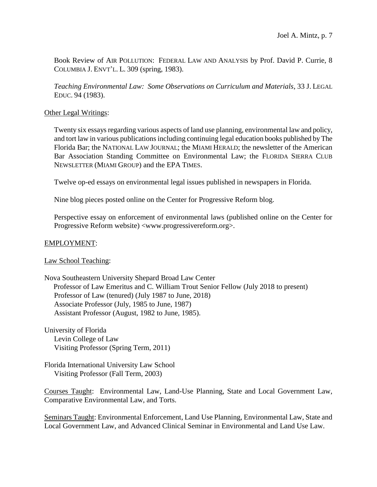Book Review of AIR POLLUTION: FEDERAL LAW AND ANALYSIS by Prof. David P. Currie, 8 COLUMBIA J. ENVT'L. L. 309 (spring, 1983).

*Teaching Environmental Law: Some Observations on Curriculum and Materials*, 33 J. LEGAL EDUC. 94 (1983).

# Other Legal Writings:

Twenty six essays regarding various aspects of land use planning, environmental law and policy, and tort law in various publications including continuing legal education books published by The Florida Bar; the NATIONAL LAW JOURNAL; the MIAMI HERALD; the newsletter of the American Bar Association Standing Committee on Environmental Law; the FLORIDA SIERRA CLUB NEWSLETTER (MIAMI GROUP) and the EPA TIMES.

Twelve op-ed essays on environmental legal issues published in newspapers in Florida.

Nine blog pieces posted online on the Center for Progressive Reform blog.

Perspective essay on enforcement of environmental laws (published online on the Center for Progressive Reform website) <www.progressivereform.org>.

# EMPLOYMENT:

# Law School Teaching:

Nova Southeastern University Shepard Broad Law Center Professor of Law Emeritus and C. William Trout Senior Fellow (July 2018 to present) Professor of Law (tenured) (July 1987 to June, 2018) Associate Professor (July, 1985 to June, 1987) Assistant Professor (August, 1982 to June, 1985).

University of Florida Levin College of Law Visiting Professor (Spring Term, 2011)

Florida International University Law School Visiting Professor (Fall Term, 2003)

Courses Taught: Environmental Law, Land-Use Planning, State and Local Government Law, Comparative Environmental Law, and Torts.

Seminars Taught: Environmental Enforcement, Land Use Planning, Environmental Law, State and Local Government Law, and Advanced Clinical Seminar in Environmental and Land Use Law.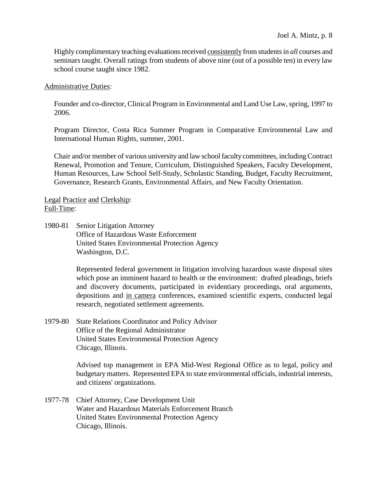Highly complimentary teaching evaluations received consistently from students in *all* courses and seminars taught. Overall ratings from students of above nine (out of a possible ten) in every law school course taught since 1982.

#### Administrative Duties:

Founder and co-director, Clinical Program in Environmental and Land Use Law, spring, 1997 to 2006.

Program Director, Costa Rica Summer Program in Comparative Environmental Law and International Human Rights, summer, 2001.

Chair and/or member of various university and law school faculty committees, including Contract Renewal, Promotion and Tenure, Curriculum, Distinguished Speakers, Faculty Development, Human Resources, Law School Self-Study, Scholastic Standing, Budget, Faculty Recruitment, Governance, Research Grants, Environmental Affairs, and New Faculty Orientation.

Legal Practice and Clerkship: Full-Time:

1980-81 Senior Litigation Attorney Office of Hazardous Waste Enforcement United States Environmental Protection Agency Washington, D.C.

> Represented federal government in litigation involving hazardous waste disposal sites which pose an imminent hazard to health or the environment: drafted pleadings, briefs and discovery documents, participated in evidentiary proceedings, oral arguments, depositions and in camera conferences, examined scientific experts, conducted legal research, negotiated settlement agreements.

1979-80 State Relations Coordinator and Policy Advisor Office of the Regional Administrator United States Environmental Protection Agency Chicago, Illinois.

> Advised top management in EPA Mid-West Regional Office as to legal, policy and budgetary matters. Represented EPA to state environmental officials, industrial interests, and citizens' organizations.

1977-78 Chief Attorney, Case Development Unit Water and Hazardous Materials Enforcement Branch United States Environmental Protection Agency Chicago, Illinois.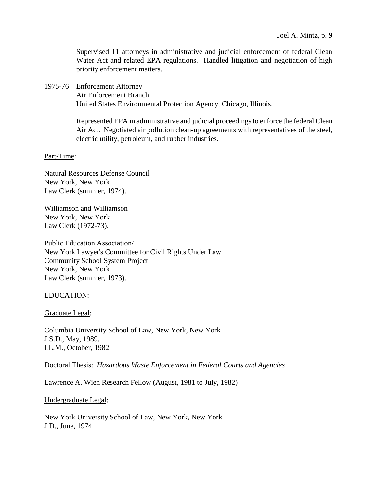Supervised 11 attorneys in administrative and judicial enforcement of federal Clean Water Act and related EPA regulations. Handled litigation and negotiation of high priority enforcement matters.

1975-76 Enforcement Attorney

Air Enforcement Branch United States Environmental Protection Agency, Chicago, Illinois.

Represented EPA in administrative and judicial proceedings to enforce the federal Clean Air Act. Negotiated air pollution clean-up agreements with representatives of the steel, electric utility, petroleum, and rubber industries.

# Part-Time:

Natural Resources Defense Council New York, New York Law Clerk (summer, 1974).

Williamson and Williamson New York, New York Law Clerk (1972-73).

Public Education Association/ New York Lawyer's Committee for Civil Rights Under Law Community School System Project New York, New York Law Clerk (summer, 1973).

# EDUCATION:

Graduate Legal:

Columbia University School of Law, New York, New York J.S.D., May, 1989. LL.M., October, 1982.

Doctoral Thesis: *Hazardous Waste Enforcement in Federal Courts and Agencies*

Lawrence A. Wien Research Fellow (August, 1981 to July, 1982)

Undergraduate Legal:

New York University School of Law, New York, New York J.D., June, 1974.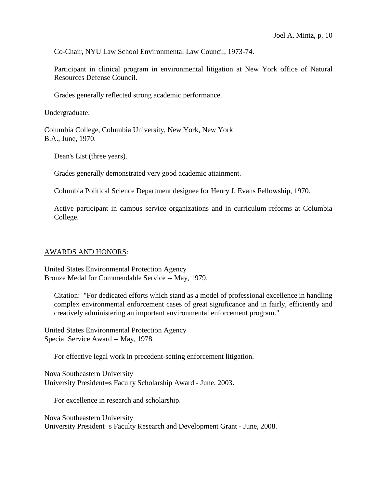Co-Chair, NYU Law School Environmental Law Council, 1973-74.

Participant in clinical program in environmental litigation at New York office of Natural Resources Defense Council.

Grades generally reflected strong academic performance.

Undergraduate:

Columbia College, Columbia University, New York, New York B.A., June, 1970.

Dean's List (three years).

Grades generally demonstrated very good academic attainment.

Columbia Political Science Department designee for Henry J. Evans Fellowship, 1970.

Active participant in campus service organizations and in curriculum reforms at Columbia College.

# AWARDS AND HONORS:

United States Environmental Protection Agency Bronze Medal for Commendable Service -- May, 1979.

Citation: "For dedicated efforts which stand as a model of professional excellence in handling complex environmental enforcement cases of great significance and in fairly, efficiently and creatively administering an important environmental enforcement program."

United States Environmental Protection Agency Special Service Award -- May, 1978.

For effective legal work in precedent-setting enforcement litigation.

Nova Southeastern University University President=s Faculty Scholarship Award - June, 2003**.**

For excellence in research and scholarship.

Nova Southeastern University University President=s Faculty Research and Development Grant - June, 2008.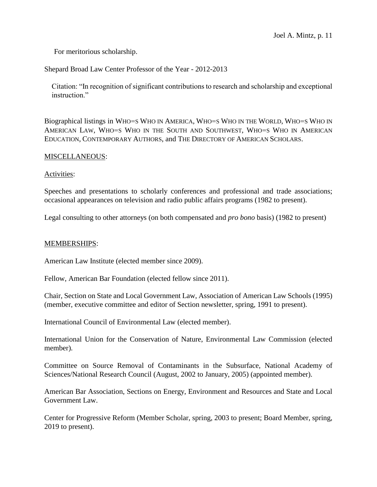For meritorious scholarship.

Shepard Broad Law Center Professor of the Year - 2012-2013

 Citation: "In recognition of significant contributions to research and scholarship and exceptional instruction."

Biographical listings in WHO=S WHO IN AMERICA, WHO=S WHO IN THE WORLD, WHO=S WHO IN AMERICAN LAW, WHO=S WHO IN THE SOUTH AND SOUTHWEST, WHO=S WHO IN AMERICAN EDUCATION, CONTEMPORARY AUTHORS, and THE DIRECTORY OF AMERICAN SCHOLARS.

#### MISCELLANEOUS:

#### Activities:

Speeches and presentations to scholarly conferences and professional and trade associations; occasional appearances on television and radio public affairs programs (1982 to present).

Legal consulting to other attorneys (on both compensated and *pro bono* basis) (1982 to present)

#### MEMBERSHIPS:

American Law Institute (elected member since 2009).

Fellow, American Bar Foundation (elected fellow since 2011).

Chair, Section on State and Local Government Law, Association of American Law Schools (1995) (member, executive committee and editor of Section newsletter, spring, 1991 to present).

International Council of Environmental Law (elected member).

International Union for the Conservation of Nature, Environmental Law Commission (elected member).

Committee on Source Removal of Contaminants in the Subsurface, National Academy of Sciences/National Research Council (August, 2002 to January, 2005) (appointed member).

American Bar Association, Sections on Energy, Environment and Resources and State and Local Government Law.

Center for Progressive Reform (Member Scholar, spring, 2003 to present; Board Member, spring, 2019 to present).